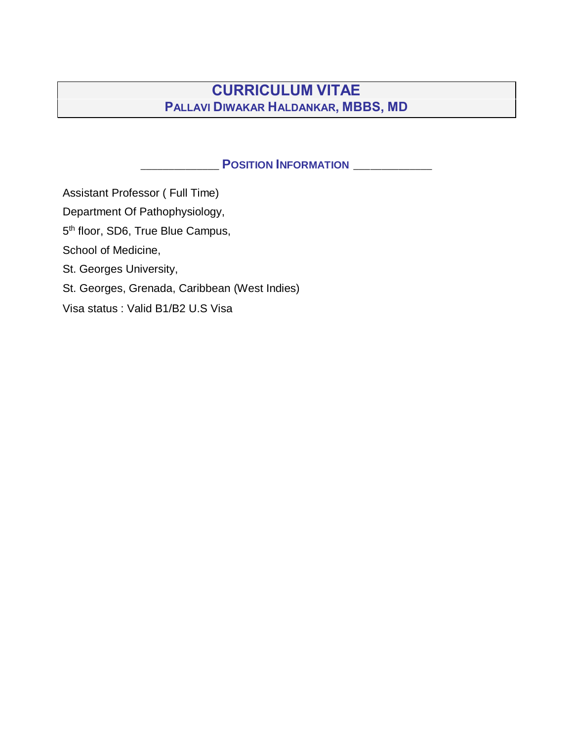# **CURRICULUM VITAE PALLAVI DIWAKAR HALDANKAR, MBBS, MD**

### **POSITION INFORMATION** \_\_\_\_\_\_\_\_\_\_\_\_

Assistant Professor ( Full Time) Department Of Pathophysiology, 5<sup>th</sup> floor, SD6, True Blue Campus, School of Medicine, St. Georges University, St. Georges, Grenada, Caribbean (West Indies) Visa [status : Valid B1/B2](tel:14734441770) U.S Visa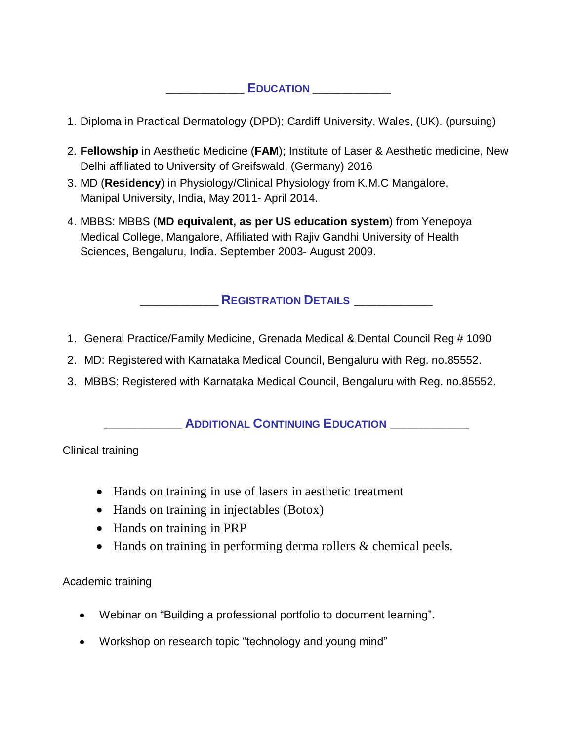### $E$ **DUCATION**

- 1. Diploma in Practical Dermatology (DPD); Cardiff University, Wales, (UK). (pursuing)
- 2. **Fellowship** in Aesthetic Medicine (**FAM**); Institute of Laser & Aesthetic medicine, New Delhi affiliated to University of Greifswald, (Germany) 2016
- 3. MD (**Residency**) in Physiology/Clinical Physiology from K.M.C Mangalore, Manipal University, India, May 2011- April 2014.
- 4. MBBS: MBBS (**MD equivalent, as per US education system**) from Yenepoya Medical College, Mangalore, Affiliated with Rajiv Gandhi University of Health Sciences, Bengaluru, India. September 2003- August 2009.

### \_\_\_\_\_\_\_\_\_\_\_\_\_\_ **REGISTRATION DETAILS** \_\_\_\_\_\_\_\_\_\_\_\_\_\_

- 1. General Practice/Family Medicine, Grenada Medical & Dental Council Reg # 1090
- 2. MD: Registered with Karnataka Medical Council, Bengaluru with Reg. no.85552.
- 3. MBBS: Registered with Karnataka Medical Council, Bengaluru with Reg. no.85552.

#### \_\_\_\_\_\_\_\_\_\_\_\_\_\_ **ADDITIONAL CONTINUING EDUCATION** \_\_\_\_\_\_\_\_\_\_\_\_\_\_

Clinical training

- Hands on training in use of lasers in aesthetic treatment
- Hands on training in injectables (Botox)
- Hands on training in PRP
- Hands on training in performing derma rollers & chemical peels.

#### Academic training

- Webinar on "Building a professional portfolio to document learning".
- Workshop on research topic "technology and young mind"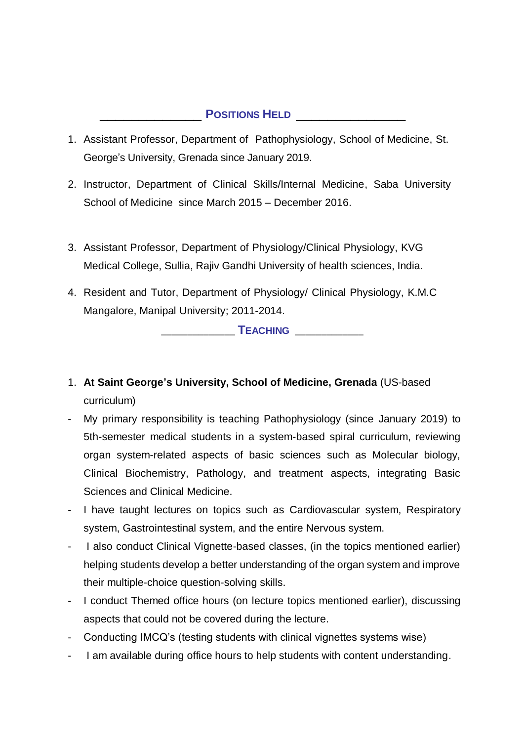### \_\_\_\_\_\_\_\_\_\_\_\_\_ **POSITIONS HELD** \_\_\_\_\_\_\_\_\_\_\_\_\_\_

- 1. Assistant Professor, Department of Pathophysiology, School of Medicine, St. George's University, Grenada since January 2019.
- 2. Instructor, Department of Clinical Skills/Internal Medicine, Saba University School of Medicine since March 2015 – December 2016.
- 3. Assistant Professor, Department of Physiology/Clinical Physiology, KVG Medical College, Sullia, Rajiv Gandhi University of health sciences, India.
- 4. Resident and Tutor, Department of Physiology/ Clinical Physiology, K.M.C Mangalore, Manipal University; 2011-2014.

 $$ 

- 1. **At Saint George's University, School of Medicine, Grenada** (US-based curriculum)
- My primary responsibility is teaching Pathophysiology (since January 2019) to 5th-semester medical students in a system-based spiral curriculum, reviewing organ system-related aspects of basic sciences such as Molecular biology, Clinical Biochemistry, Pathology, and treatment aspects, integrating Basic Sciences and Clinical Medicine.
- I have taught lectures on topics such as Cardiovascular system, Respiratory system, Gastrointestinal system, and the entire Nervous system.
- I also conduct Clinical Vignette-based classes, (in the topics mentioned earlier) helping students develop a better understanding of the organ system and improve their multiple-choice question-solving skills.
- I conduct Themed office hours (on lecture topics mentioned earlier), discussing aspects that could not be covered during the lecture.
- Conducting IMCQ's (testing students with clinical vignettes systems wise)
- I am available during office hours to help students with content understanding.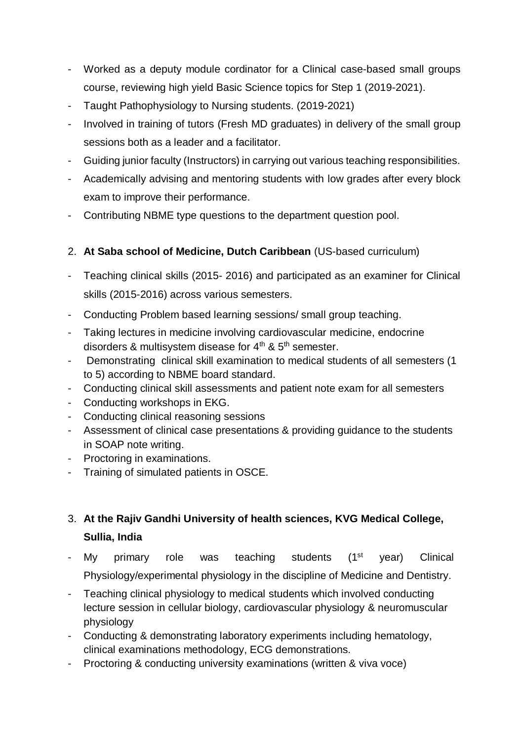- Worked as a deputy module cordinator for a Clinical case-based small groups course, reviewing high yield Basic Science topics for Step 1 (2019-2021).
- Taught Pathophysiology to Nursing students. (2019-2021)
- Involved in training of tutors (Fresh MD graduates) in delivery of the small group sessions both as a leader and a facilitator.
- Guiding junior faculty (Instructors) in carrying out various teaching responsibilities.
- Academically advising and mentoring students with low grades after every block exam to improve their performance.
- Contributing NBME type questions to the department question pool.
- 2. **At Saba school of Medicine, Dutch Caribbean** (US-based curriculum)
- Teaching clinical skills (2015- 2016) and participated as an examiner for Clinical skills (2015-2016) across various semesters.
- Conducting Problem based learning sessions/ small group teaching.
- Taking lectures in medicine involving cardiovascular medicine, endocrine disorders & multisystem disease for  $4<sup>th</sup>$  &  $5<sup>th</sup>$  semester.
- Demonstrating clinical skill examination to medical students of all semesters (1 to 5) according to NBME board standard.
- Conducting clinical skill assessments and patient note exam for all semesters
- Conducting workshops in EKG.
- Conducting clinical reasoning sessions
- Assessment of clinical case presentations & providing guidance to the students in SOAP note writing.
- Proctoring in examinations.
- Training of simulated patients in OSCE.

# 3. **At the Rajiv Gandhi University of health sciences, KVG Medical College, Sullia, India**

- My primary role was teaching students (1<sup>st</sup> year) Clinical Physiology/experimental physiology in the discipline of Medicine and Dentistry.
- Teaching clinical physiology to medical students which involved conducting lecture session in cellular biology, cardiovascular physiology & neuromuscular physiology
- Conducting & demonstrating laboratory experiments including hematology, clinical examinations methodology, ECG demonstrations.
- Proctoring & conducting university examinations (written & viva voce)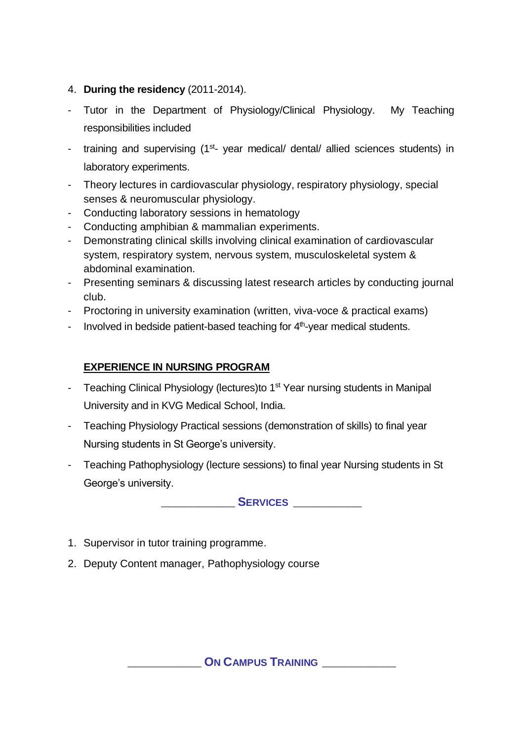- 4. **During the residency** (2011-2014).
- Tutor in the Department of Physiology/Clinical Physiology. My Teaching responsibilities included
- training and supervising (1<sup>st</sup>- year medical/ dental/ allied sciences students) in laboratory experiments.
- Theory lectures in cardiovascular physiology, respiratory physiology, special senses & neuromuscular physiology.
- Conducting laboratory sessions in hematology
- Conducting amphibian & mammalian experiments.
- Demonstrating clinical skills involving clinical examination of cardiovascular system, respiratory system, nervous system, musculoskeletal system & abdominal examination.
- Presenting seminars & discussing latest research articles by conducting journal club.
- Proctoring in university examination (written, viva-voce & practical exams)
- Involved in bedside patient-based teaching for  $4<sup>th</sup>$ -year medical students.

## **EXPERIENCE IN NURSING PROGRAM**

- Teaching Clinical Physiology (lectures)to 1<sup>st</sup> Year nursing students in Manipal University and in KVG Medical School, India.
- Teaching Physiology Practical sessions (demonstration of skills) to final year Nursing students in St George's university.
- Teaching Pathophysiology (lecture sessions) to final year Nursing students in St George's university.

\_\_\_\_\_\_\_\_\_\_\_\_\_\_ **SERVICES** \_\_\_\_\_\_\_\_\_\_\_\_\_

- 1. Supervisor in tutor training programme.
- 2. Deputy Content manager, Pathophysiology course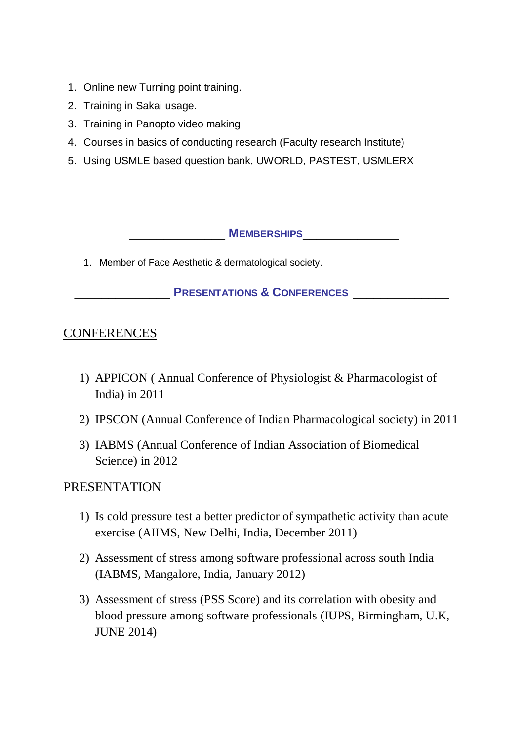- 1. Online new Turning point training.
- 2. Training in Sakai usage.
- 3. Training in Panopto video making
- 4. Courses in basics of conducting research (Faculty research Institute)
- 5. Using USMLE based question bank, UWORLD, PASTEST, USMLERX

\_\_\_\_\_\_\_\_\_\_\_\_\_\_ **MEMBERSHIPS**\_\_\_\_\_\_\_\_\_\_\_\_\_\_

1. Member of Face Aesthetic & dermatological society.

\_\_\_\_\_\_\_\_\_\_\_\_\_\_ **PRESENTATIONS & CONFERENCES** \_\_\_\_\_\_\_\_\_\_\_\_\_\_

# **CONFERENCES**

- 1) APPICON ( Annual Conference of Physiologist & Pharmacologist of India) in 2011
- 2) IPSCON (Annual Conference of Indian Pharmacological society) in 2011
- 3) IABMS (Annual Conference of Indian Association of Biomedical Science) in 2012

# PRESENTATION

- 1) Is cold pressure test a better predictor of sympathetic activity than acute exercise (AIIMS, New Delhi, India, December 2011)
- 2) Assessment of stress among software professional across south India (IABMS, Mangalore, India, January 2012)
- 3) Assessment of stress (PSS Score) and its correlation with obesity and blood pressure among software professionals (IUPS, Birmingham, U.K, JUNE 2014)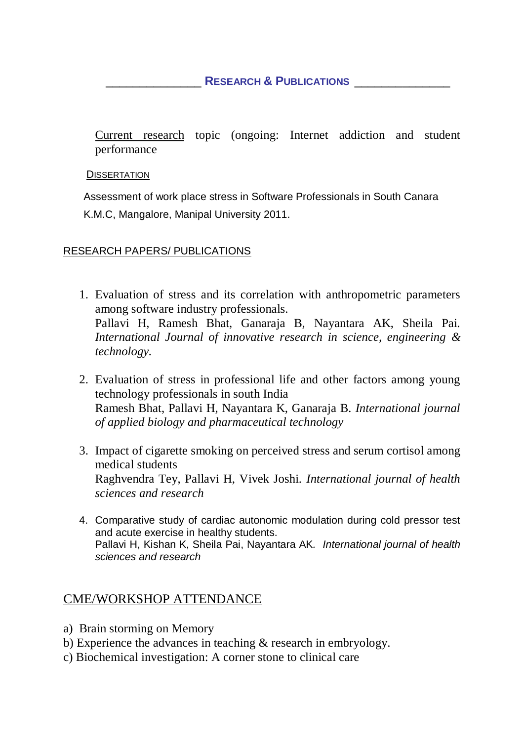### \_\_\_\_\_\_\_\_\_\_\_\_\_\_ **RESEARCH & PUBLICATIONS** \_\_\_\_\_\_\_\_\_\_\_\_\_\_

Current research topic (ongoing: Internet addiction and student performance

**DISSERTATION** 

Assessment of work place stress in Software Professionals in South Canara K.M.C, Mangalore, Manipal University 2011.

### RESEARCH PAPERS/ PUBLICATIONS

- 1. Evaluation of stress and its correlation with anthropometric parameters among software industry professionals. Pallavi H, Ramesh Bhat, Ganaraja B, Nayantara AK, Sheila Pai. *International Journal of innovative research in science, engineering & technology.*
- 2. Evaluation of stress in professional life and other factors among young technology professionals in south India Ramesh Bhat, Pallavi H, Nayantara K, Ganaraja B*. International journal of applied biology and pharmaceutical technology*
- 3. Impact of cigarette smoking on perceived stress and serum cortisol among medical students Raghvendra Tey, Pallavi H, Vivek Joshi. *International journal of health sciences and research*
- 4. Comparative study of cardiac autonomic modulation during cold pressor test and acute exercise in healthy students. Pallavi H, Kishan K, Sheila Pai, Nayantara AK*. International journal of health sciences and research*

# CME/WORKSHOP ATTENDANCE

- a) Brain storming on Memory
- b) Experience the advances in teaching & research in embryology.
- c) Biochemical investigation: A corner stone to clinical care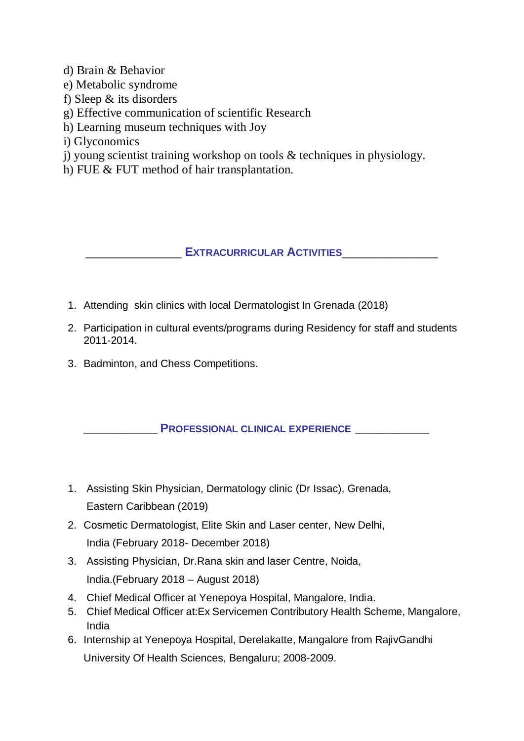d) Brain & Behavior

- e) Metabolic syndrome
- f) Sleep & its disorders
- g) Effective communication of scientific Research
- h) Learning museum techniques with Joy
- i) Glyconomics
- j) young scientist training workshop on tools & techniques in physiology.
- h) FUE & FUT method of hair transplantation.

\_\_\_\_\_\_\_\_\_\_\_\_\_\_ **EXTRACURRICULAR ACTIVITIES**\_\_\_\_\_\_\_\_\_\_\_\_\_\_

- 1. Attending skin clinics with local Dermatologist In Grenada (2018)
- 2. Participation in cultural events/programs during Residency for staff and students 2011-2014.
- 3. Badminton, and Chess Competitions.

\_\_\_\_\_\_\_\_\_\_\_\_\_\_ **PROFESSIONAL CLINICAL EXPERIENCE** \_\_\_\_\_\_\_\_\_\_\_\_\_\_

- 1. Assisting Skin Physician, Dermatology clinic (Dr Issac), Grenada, Eastern Caribbean (2019)
- 2. Cosmetic Dermatologist, Elite Skin and Laser center, New Delhi, India (February 2018- December 2018)
- 3. Assisting Physician, Dr.Rana skin and laser Centre, Noida, India.(February 2018 – August 2018)
- 4. Chief Medical Officer at Yenepoya Hospital, Mangalore, India.
- 5. Chief Medical Officer at:Ex Servicemen Contributory Health Scheme, Mangalore, India
- 6. Internship at Yenepoya Hospital, Derelakatte, Mangalore from RajivGandhi University Of Health Sciences, Bengaluru; 2008-2009.